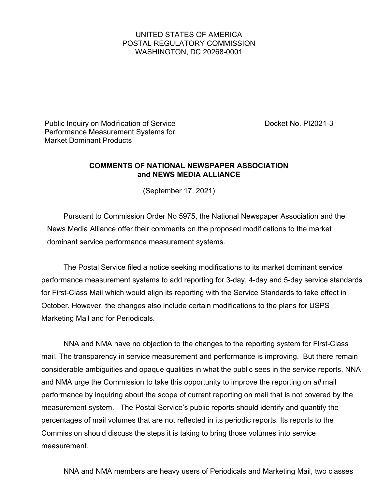## UNITED STATES OF AMERICA POSTAL REGULATORY COMMISSION WASHINGTON, DC 20268-0001

Public Inquiry on Modification of Service **Docket No. PI2021-3** Performance Measurement Systems for Market Dominant Products

## **COMMENTS OF NATIONAL NEWSPAPER ASSOCIATION and NEWS MEDIA ALLIANCE**

(September 17, 2021)

Pursuant to Commission Order No 5975, the National Newspaper Association and the News Media Alliance offer their comments on the proposed modifications to the market dominant service performance measurement systems.

The Postal Service filed a notice seeking modifications to its market dominant service performance measurement systems to add reporting for 3-day, 4-day and 5-day service standards for First-Class Mail which would align its reporting with the Service Standards to take effect in October. However, the changes also include certain modifications to the plans for USPS Marketing Mail and for Periodicals.

NNA and NMA have no objection to the changes to the reporting system for First-Class mail. The transparency in service measurement and performance is improving. But there remain considerable ambiguities and opaque qualities in what the public sees in the service reports. NNA and NMA urge the Commission to take this opportunity to improve the reporting on *all* mail performance by inquiring about the scope of current reporting on mail that is not covered by the measurement system. The Postal Service's public reports should identify and quantify the percentages of mail volumes that are not reflected in its periodic reports. Its reports to the Commission should discuss the steps it is taking to bring those volumes into service measurement.

NNA and NMA members are heavy users of Periodicals and Marketing Mail, two classes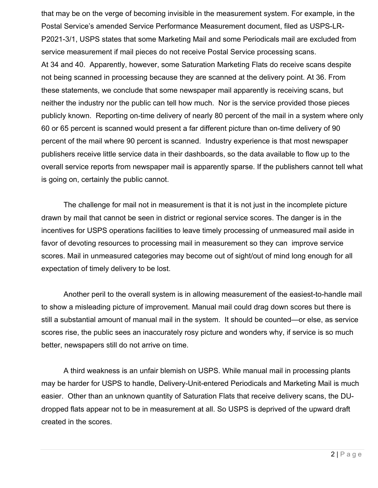that may be on the verge of becoming invisible in the measurement system. For example, in the Postal Service's amended Service Performance Measurement document, filed as USPS-LR-P2021-3/1, USPS states that some Marketing Mail and some Periodicals mail are excluded from service measurement if mail pieces do not receive Postal Service processing scans. At 34 and 40. Apparently, however, some Saturation Marketing Flats do receive scans despite not being scanned in processing because they are scanned at the delivery point. At 36. From these statements, we conclude that some newspaper mail apparently is receiving scans, but neither the industry nor the public can tell how much. Nor is the service provided those pieces publicly known. Reporting on-time delivery of nearly 80 percent of the mail in a system where only 60 or 65 percent is scanned would present a far different picture than on-time delivery of 90 percent of the mail where 90 percent is scanned. Industry experience is that most newspaper publishers receive little service data in their dashboards, so the data available to flow up to the overall service reports from newspaper mail is apparently sparse. If the publishers cannot tell what is going on, certainly the public cannot.

The challenge for mail not in measurement is that it is not just in the incomplete picture drawn by mail that cannot be seen in district or regional service scores. The danger is in the incentives for USPS operations facilities to leave timely processing of unmeasured mail aside in favor of devoting resources to processing mail in measurement so they can improve service scores. Mail in unmeasured categories may become out of sight/out of mind long enough for all expectation of timely delivery to be lost.

Another peril to the overall system is in allowing measurement of the easiest-to-handle mail to show a misleading picture of improvement. Manual mail could drag down scores but there is still a substantial amount of manual mail in the system. It should be counted—or else, as service scores rise, the public sees an inaccurately rosy picture and wonders why, if service is so much better, newspapers still do not arrive on time.

A third weakness is an unfair blemish on USPS. While manual mail in processing plants may be harder for USPS to handle, Delivery-Unit-entered Periodicals and Marketing Mail is much easier. Other than an unknown quantity of Saturation Flats that receive delivery scans, the DUdropped flats appear not to be in measurement at all. So USPS is deprived of the upward draft created in the scores.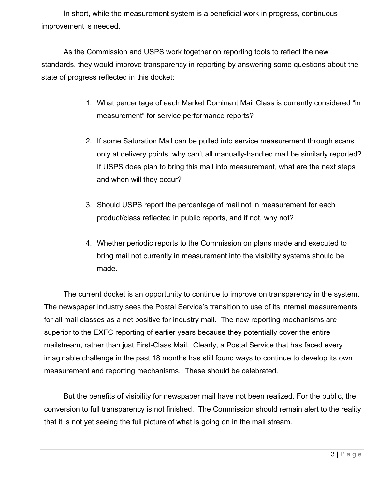In short, while the measurement system is a beneficial work in progress, continuous improvement is needed.

As the Commission and USPS work together on reporting tools to reflect the new standards, they would improve transparency in reporting by answering some questions about the state of progress reflected in this docket:

- 1. What percentage of each Market Dominant Mail Class is currently considered "in measurement" for service performance reports?
- 2. If some Saturation Mail can be pulled into service measurement through scans only at delivery points, why can't all manually-handled mail be similarly reported? If USPS does plan to bring this mail into measurement, what are the next steps and when will they occur?
- 3. Should USPS report the percentage of mail not in measurement for each product/class reflected in public reports, and if not, why not?
- 4. Whether periodic reports to the Commission on plans made and executed to bring mail not currently in measurement into the visibility systems should be made.

The current docket is an opportunity to continue to improve on transparency in the system. The newspaper industry sees the Postal Service's transition to use of its internal measurements for all mail classes as a net positive for industry mail. The new reporting mechanisms are superior to the EXFC reporting of earlier years because they potentially cover the entire mailstream, rather than just First-Class Mail. Clearly, a Postal Service that has faced every imaginable challenge in the past 18 months has still found ways to continue to develop its own measurement and reporting mechanisms. These should be celebrated.

But the benefits of visibility for newspaper mail have not been realized. For the public, the conversion to full transparency is not finished. The Commission should remain alert to the reality that it is not yet seeing the full picture of what is going on in the mail stream.